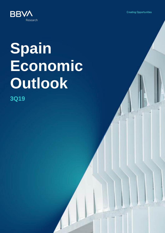**Creating Opportunities** 



# **Spain Economic Outlook**

**3Q19**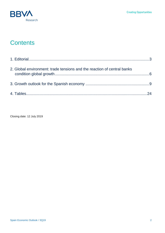

# **Contents**

| 2. Global environment: trade tensions and the reaction of central banks |  |
|-------------------------------------------------------------------------|--|
|                                                                         |  |
|                                                                         |  |

Closing date: 12 July 2019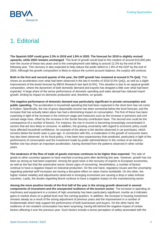

# <span id="page-2-0"></span>1. Editorial

**The Spanish GDP could grow 2.3% in 2019 and 1.9% in 2020. The forecast for 2019 is slightly revised upwards, while 2020 remains unchanged**. This level of growth would lead to the creation of around 810,000 jobs over the course of these two years and to the unemployment rate falling to around 12.2% by the end of the following year. This recovery is also expected to help reduce the public deficit to 1.9% of the GDP by the end of 2020. Although the growth composition is likely to reduce the current account balance, the surplus will continue.

**Both in the first and second quarter of the year, the GDP growth has remained at around 0.7% QoQ**. This shows an acceleration over what had been observed in the last 6 months of 2018 (0.5% QoQ), as well as a slight improvement of the levels forecast by BBVA Research last April (0.6%). This situation is due to an atypical growth composition, where the dynamism of both domestic demand and exports has dropped a little over what had been expected. A large share of the worse performance of domestic spending and sales abroad has reduced import growth, limiting its impact on domestic production and, therefore, on growth.

**The negative performance of domestic demand was particularly significant in private consumption and public spending**. The acceleration in household spending that had been expected in the short term has not come to fruition. Specifically, the rise of gross disposable income has been somewhat below the level forecast, and the increase that has actually taken place has had a diminishing impact on consumption. The first of these has been surprising in light of the increase in the minimum wage and measures such as the increase in pensions and civil servant wage rises, offset by the increase in the Social Security contribution base. The second one could be the consequence of a number of factors. For instance, the rise in income is becoming increasingly concentrated in sectors that are less likely to consume. In addition, the growing uncertainty with regard to economic policy could have affected household confidence. An example of the above is the decline observed in car purchases, which remains below the levels seen a year ago. In connection with this, a moderation in the growth of consumer loans has also been observed. As for fiscal policy, it has been less expansionary than predicted, particularly in light of the performance of consumption and the investment made by public administrations in the context of an election. Neither one has shown an important acceleration, having diverted from the patterns observed in other similar years.

**The weakness of the flow of trade of goods overseas continues to be higher than expected**. The sale of goods to other countries appears to have reached a turning point after declining last year. However, growth has not been as strong as had been expected. Among the good news is the recovery of exports to European economies, as well as the fact that the automotive sector shows signs of recovering. Nevertheless, a number of factors continue to have a negative impact on industrial production. On the one hand, regulatory issues and the uncertainty regarding potential tariff increases are having a disruptive effect on value chains worldwide. On the other, the higher market volatility and adjustments observed in emerging economies are causing a drop in sales tothose countries. Lastly, the doubts regarding Brexit continue to have a negative impact on the manufacturing sector.

**Among the more positive trends of the first half of the year is the strong growth observed in several components of investment and the unexpected resilience of the tourism sector**. The increase in spending on machinery and equipment in a context of high uncertainty has been particularly significant, insofar as it indicates gains in market share on a global level over the coming quarters. In addition, the increase in housing investment remains steady as a result of the strong adjustment of previous years and the improvement in a number of fundamentals which help support the performance of both businesses and buyers. On the other hand, the resilience of non-resident consumption has been surprising, having left behind the negative impact of certain factors affecting it over the previous year. Such factors include a worse perception of safety associated with the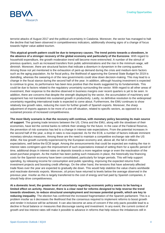

terrorist attacks of August 2017 and the political uncertainty in Catalonia. Moreover, the sector has managed to halt the decline that had been observed in competitiveness indicators, additionally showing signs of a change of focus towards higher value added tourism.

**This atypical growth pattern could be due to temporary causes. The trend points towards a slowdown, in the absence of a stronger recovery of the global economy and particularly of the Eurozone**. With regard to household expenditure, the growth moderation trend will become more entrenched. A number of the stimuli of previous quarters, such as increased transfers from public administrations and the rise in the minimum wage, will diminish. Moreover, there are structural factors that indicate a downturn in dynamism in the coming quarters. Among those not yet mentioned is the exhaustion of pent-up demand during the crisis and medium-term factors such as the aging population. As for fiscal policy, the likelihood of approving the General State Budget for 2019 is dwindling, whereas the swearing-in of the new governments could slow down decision-making. This may lead to a change in the fiscal stance during the second half of the year. In addition, although housing investment is expected to continue to grow, its performance has been less positive than the levels suggested by its fundamentals. This could be due to factors related to the regulatory uncertainty surrounding the sector. With regard to all other areas of investment, their response to the decline observed in business margins over recent quarters is yet to be seen. In addition, there are concerns that despite the strength displayed by the sector, the accumulation of machinery and equipment has not translated into sustained growth in productivity. Lastly, no definitive resolution to the widespread uncertainty regarding international trade is expected to come about. Furthermore, the EMU continues to show relatively low growth rates, reducing the room for further growth of Spanish exports. Moreover, the sharp adjustment of imports appears to be more of a one-off situation, related to specific sectors, as opposed to a sustained process of increased competitiveness.

**The most likely scenario is that the recovery will continue, with monetary policy becoming its main source of support**. The growing trade tensions between the US, China and the EMU, along with the slowdown of their economies, have led the central banks to rethink their strategy for the future. In the case of the Federal Reserve, the prevention of risk scenarios has led to a change in interest rate expectations. From the potential increases in the second half of the year, a drop in rates is now expected. As for the ECB, a number of factors indicate imminent monetary stimulus measures. Among these are the need to maintain a competitive exchange rate with the US dollar, the low growth currently experienced by the European economy and, above all, the fall in inflation expectations, well below the ECB target. Among the announcements that could be expected are making the rise in interest rates contingent upon the improvement of such expectations instead of setting them for a specific period of time, additional drops in interest rates on deposits towards a more negative range or even the reactivation of the asset purchase program. As the market has been putting such measures in place, the historically low financing costs for the Spanish economy have been consolidated, particularly for longer periods. This will help support spending, by releasing income for consumption and public spending, improving the expected returns from investment projects and boosting credit offerings. On the other hand, the tensions that have adversely affected trade flows over the year are expected to gradually die down. This would help stabilize the value chains worldwide and reactivate domestic exports. Moreover, oil prices have returned to levels below the average observed in the previous year. Insofar as this is largely transferred to the cost of energy and fuel paid by Spanish companies, it should help drive competitiveness.

**At a domestic level, the greater level of uncertainty regarding economic policy seems to be having a limited effect on activity. However, there is a clear need for reforms designed to help reverse the trend towards slowdown, to reduce structural unemployment and increase potential growth, which are key to reducing inequality**. The election has confirmed the increased fragmentation of the Spanish parliament. This is a problem insofar as it decreases the likelihood that the consensus required to implement reforms to boost growth and render it inclusive will be achieved. It can also become an area of concern if the only pacts possible lead to a decline in fiscal balance or measures that discourage saving and investment. In any event, the current context of growth and low interest rates still make it possible to advance in reforms that help reduce the imbalances still in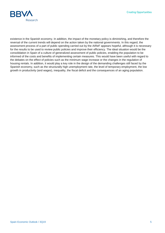**Creating Opportunities** 



existence in the Spanish economy. In addition, the impact of the monetary policy is diminishing, and therefore the reversal of the current trends will depend on the action taken by the national governments. In this regard, the assessment process of a part of public spending carried out by the AIReF appears hopeful, although it is necessary for the results to be used to review public policies and improve their efficiency. The ideal situation would be the consolidation in Spain of a culture of generalized assessment of public policies, enabling the population to be informed of the costs and benefits of implementing certain measures. This would have been useful with regard to the debates on the effect of policies such as the minimum wage increase or the changes in the regulation of housing rentals. In addition, it would play a key role in the design of the demanding challenges still faced by the Spanish economy, such as the structurally high unemployment rate, the level of temporary employment, the low growth in productivity (and wages), inequality, the fiscal deficit and the consequences of an aging population.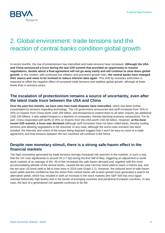# <span id="page-5-0"></span>2. Global environment: trade tensions and the reaction of central banks condition global growth

In recent months, the rise of protectionism has intensified and trade tensions have increased. **Although the USA and China announced a truce during the last G20 summit that provided an opportunity to resume negotiations, doubts about a final agreement will not go away easily and will continue to slow down global growth**. In this context, with continued low inflation and prominent growth risks, **the central banks have changed their stance and seem to be inclined to reduce interest rates again**. This shift by monetary authorities is expected to offset the negative effect of increased trade tensions and stabilise global growth, although at lower levels than in previous years.

#### **The escalation of protectionism remains a source of uncertainty, even after the latest trade truce between the USA and China**

**Over the past few months, we have seen how trade disputes have intensified**, which has been further exacerbated by tensions regarding technology. The US government announced new tariff increases from 10% to 25% on imports from China worth USD 200 billion, and threatened to extend them to all other imports (an additional USD 230 billion). It also added Huawei to a blacklist of companies, thereby blocking business transactions. For its part, China responded with tariffs of 25% on imports from the USA worth USD 60 billion. However, **at the most recent G20 summit, a truce was declared** (although tariff increases have not been rolled back), thereby cooling tensions and allowing negotiations to be resumed. In any case, although the worst-case scenario has been avoided, the intensity and extent of the issues being disputed suggest that it won't be easy to come to a trade agreement, and that tensions between the two countries will continue in the future.

#### **Despite new monetary stimuli, there is a strong safe-haven effect in the financial markets**

The high uncertainty generated by trade tensions strongly increased risk aversion in the markets, in such a way that the VIX rose significantly to around 20 (+7 bp) during the first half of May, triggering an adjustment in world stock markets of an average of 6%. All of this increased the safe-haven demand and, together with the more accommodating attitude of the central banks, caused the ten-year German bond yield to reach a historic low, and the ten-year US bond yield to fall to lows seen in 2016 (see Graph 2.1). However, the reduced level of safe-haven asset yields and the confidence that the action from central banks will sustain growth have generated a search for alternative yields, which has resulted in both an increase in the stock markets (the S&P 500 has once again reached historically high levels) and in the bonds of emerging countries and peripheral European countries. In any case, the lack of a generalized risk appetite continues to be felt.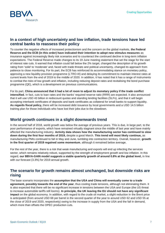

#### **In a context of high uncertainty and low inflation, trade tensions have led central banks to reassess their policy**

To counter the negative effects of increased protectionism and the concern on the global markets, **the Federal Reserve and the ECB (in this order) have indicated their intention to adopt new stimulus measures** as insurance against increasingly likely risk scenarios and to counteract the continued decline in long-term inflation expectations. The Federal Reserve made changes to its 19 June meeting statement that set the stage for the start of interest rate cuts. It warned that inflation could fall below the 2% target, changed the description of its growth rating from 'solid' to 'moderate' and, faced with trade threats and political uncertainty, changed its approach from patience to close monitoring. For its part, the ECB has reinforced its accommodating stance on monetary policy, approving a new liquidity provision programme (LTRO-III) and delaying its commitment to maintain interest rates at current levels from the end of 2019 to the middle of 2020. In addition, it has noted that it has a range of instruments to combat the risks of low growth and inflation, including reducing deposit rates and revitalising the bond purchase programme (QE), which is a development on previous communications.

For its part, **China announced that it had a lot of room to adjust its monetary policy if the trade conflict intensified.** In fact, cuts to loan rates and the banks' required reserve ratio (RRR) are expected. It also announced that it will use USD 43 billion in rediscount quotas and standing lending facilities (SLFs), and that it will begin accepting interbank certificates of deposits and bank certificates as collateral for small banks to support liquidity. **As regards fiscal policy,** there will be increased debt issuance by local governments and a USD 14.5 billion training plan for those individuals who have lost their jobs due to the slowdown.

#### **World growth continues in a slight downwards trend**

In the second half of 2018, world growth was below the average of previous years. This is due, in large part, to the poor performance of exports, which have remained virtually stagnant since the middle of last year and have mainly affected the manufacturing industry. **Activity data shows how the manufacturing sector has continued to slow down during the first four months of 2019,** despite a good March. **This trend will most likely continue,** as manufacturing PMIs continued to fall in May and June, tumbling into contraction territory. Overall, however, **growth in the first quarter of 2019 regained some momentum**, although it remained below average.

For the rest of the year, there is a risk that weak manufacturing and exports will end up infecting the services sector, which remains relatively robust, supported by the strength of employment growth and low inflation. In this regard, **our BBVA-GAIN model suggests a stable quarterly growth of around 0.8% at the global level,** in line with our forecast (3.3%) for 2019 annual growth.

#### **The scenario for growth remains almost unchanged, but downside risks are rising**

The base scenario incorporates the **assumption that the USA and China will eventually come to a trade agreement, possibly towards the end of the year**, thus cooling trade tensions, although not eliminating them. It is also expected that there will be no significant increase in tensions between the USA and Europe (the US threat to increase automobile tariffs still looms). **In principle, the UK leaving the EU should not have any significant impact** on the global economy. In addition, with regard to the crude oil market, a slight reduction in the Brent price is anticipated (from around USD 68 per barrel in the second quarter of the year to around USD 62 and USD 55 at the close of 2019 and 2020, respectively) owing to the increase in supply from the USA and the fall in demand, which more than offsets the OPEC production cuts.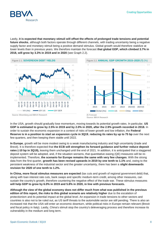

Lastly, **it is expected that monetary stimuli will offset the effects of prolonged trade tensions and potential future shocks**, although both factors operate through different channels, with trading uncertainty being a negative supply factor and monetary stimuli being a positive demand stimulus. Global growth would therefore stabilize at lower levels than in previous years. We therefore maintain the forecast **that global GDP, which climbed 3.7% in 2018, will grow by 3.3% in 2019 and in 2020** (see Graph 2.2).





In the USA, growth should gradually lose momentum, moving towards its potential growth rates. In particular, **US GDP is estimated to grow by 2.5% in 2019 and by 2.0% in 2020, after the 2.9% growth recorded in 2018.** In order to sustain the economic expansion in a context of risks of lower growth and low inflation, the **Federal Reserve is in a position to start an expansion cycle in 3Q19**, **reducing its rates by up to 75 bp** over the next few quarters, and then keeping them stable until 2022.

**In Europe**, growth will be more modest owing to a weak manufacturing industry and high uncertainty (trade and Brexit). It is therefore expected that **the ECB will strengthen its forward guidance and further reduce deposit rates (-10 bp in 3Q19),** leaving them unchanged until the end of 2021. In addition, it is anticipated that a staggered deposit system will be adopted, and, if the situation worsens, that quantitative easing (QE) measures will be reimplemented. Therefore, **the scenario for Europe remains the same with very few changes**. With the strong data from the first quarter, **growth has been revised upwards in 2019 by one tenth to 1.1%** and, owing to the persistent weakness of the industrial sector and the greater uncertainty, there has been a **slight downwards revision for 2020 of one tenth to 1.2%.**

**In China, more fiscal stimulus measures are expected** (tax cuts and growth of regional government debt) that, along with loan interest rate cuts, bank swaps and specific medium-term credit, among other measures, can sustain the country's growth, therefore countering the negative effect of the trade war. These stimulus measures **will help GDP to grow by 6.0% in 2019 and 5.8% in 2020, in line with previous forecasts.**

**Although the view of the global economy does not differ much from what was published in the previous edition of this report, the risks to this global scenario are relatively higher** due to the escalation of protectionism and its potential impact at the global level. An expansion in trade tensions to other sectors and countries is also not to be ruled out, as US tariff threats to the automobile sector are still pending. There is also an increased risk that the USA will enter an economic downturn, while political risks in Europe remain relevant (Brexit and fiscal policy in Italy). Lastly, China's stimuli stop the country's deleveraging process and therefore increase its vulnerability in the medium and long term.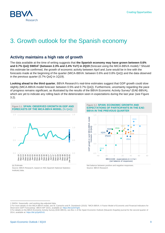

# <span id="page-8-0"></span>3. Growth outlook for the Spanish economy

#### **Activity maintains a high rate of growth**

The data available at the time of writing suggests that **the Spanish economy may have grown between 0.6% and 0.7% QoQ SWDA<sup>1</sup> (between 2.3% and 2.4% YoY) in 2Q19** (forecast using the MICA-BBVA model).<sup>2</sup> Should this estimate be confirmed, the growth of economic activity between April and June would be in line with the forecasts made at the beginning of the quarter (MICA-BBVA: between 0.6% and 0.8% QoQ) and the data observed in the previous quarter (0.7% QoQ in 1Q19).

**Looking ahead to the third quarter**, BBVA Research's real-time estimates suggest that GDP growth could slow slightly (MICA-BBVA model forecast: between 0.5% and 0.7% QoQ). Furthermore, uncertainty regarding the pace of progress remains significant, as illustrated by the results of the BBVA Economic Activity Survey<sup>3</sup> (EAE-BBVA), which are yet to indicate any rolling back of the deterioration seen in expectations during the last year (see Figure 3.2).



(e) Estimate.

l

Source: BBVA Research, based on INE (Spanish National Statistics Institute) data.





Net balance between positive and negative responses. Source: BBVA Research

SWDA: Seasonally- and working day-adjusted data.

<sup>2</sup> For more details on the MICA-BBVA model, see M. Camacho and R. Doménech (2010): "MICA-BBVA: A Factor Model of Economic and Financial Indicators for Short-term GDP Forecasting", BBVA WP 10/21, available at[: https://bit.ly/2OTgtI1](https://bit.ly/2OTgtI1)

<sup>3</sup> For details on the BBVA Economic Activity Survey (EAE-BBVA), see Box 1 of the Spain Economic Outlook (Situación España) journal for the second quarter of 2014, available at[: https://bit.ly/2pKEh31](https://bit.ly/2pKEh31)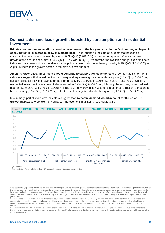

#### **Domestic demand leads growth, boosted by consumption and residential investment**

**Private consumption expenditure could recover some of the buoyancy lost in the first quarter, while public**  consumption is expected to grow at a stable pace. Thus, spending indicators<sup>4</sup> suggest that household consumption may have increased by around 0.6% QoQ (2.0% YoY) in the second quarter, after a slowdown in growth at the end of last quarter (0.4% QoQ, 1.5% YoY in 1Q19). Meanwhile, the available budget execution data indicates that consumption expenditure by the public administration may have grown by 0.4% QoQ (2.1% YoY) in 2Q19, in line with the growth posted in the previous two quarters.

**Albeit its lower pace, investment should continue to support domestic demand growth**. Partial short-term indicators suggest that investment in machinery and equipment grow at a moderate pace (0.5% QoQ; 1.6% YoY), sustaining robust activity growth after the strong recovery observed in 1Q19 (4.3% QoQ; 7.3% YoY).<sup>5</sup> Similarly, residential investment is estimated to have eased to 0.9% QoQ (4.0% YoY), following the recovery observed last quarter (1.9% QoQ, 3.4% YoY in 1Q19).<sup>6</sup> Finally, quarterly growth in investment in other construction is thought to be recovering (0.6% QoQ; 1.7% YoY), after the decline registered in the first quarter (-1.5% QoQ; 5.1% YoY).

Figure 3.3. **SPAIN: OBSERVED GROWTH AND ESTIMATES FOR THE MAJOR COMPONENTS OF DOMESTIC DEMAND**  (% QoQ) -4 -1  $\bigcap$ 1 2 3 4 5 6 7 0.0  $\alpha$  $\Omega$  $0.3$ 0.4 0.5 0.6  $^{\circ}$ 0.8 0.9 1.0 2Q18 3Q18 4Q18 1Q19 2Q19 (f) 2Q18 3Q18 4Q18 1Q19 2Q19 (f) 2Q18 3Q18 4Q18 1Q19 2Q19 (f) 2Q18 3Q18 4Q18 1Q19 2Q19 (f) Private consumption (lhs.) Public consumption (lhs.) Investment in machinery and equipment (rhs.) Residential investment (rhs.)

In summary, partial short-term indicators suggest that **domestic demand would account for 0.6 pp of GDP growth in 2Q19** (2.0 pp YoY), driven by an improvement in all items (see Figure 3.3).

(e) Estimate.

 $\overline{a}$ 

Source: BBVA Research, based on INE (Spanish National Statistics Institute) data.

<sup>4</sup> As last quarter, spending indicators are showing mixed signs. Car registrations grew at a similar rate to that of the first quarter, despite the negative contribution of the private channel. Activity in the service sector also remained buoyant. However, domestic sales of consumer goods by large companies and retail sales would have lost traction in the second quarter. With regard to resource indicators, there was a slowdown in the growth of real wage income, due to the slowdown in job creation and consumer finance, but a rise in stock prices. Although households' perception of the economy is deteriorating, their intentions to purchase durable goods remain.

<sup>5</sup> Many indicators for investment in machinery and equipment point to a negative trend in 2Q19. Only the industrial goods order portfolio suggests a recovery compared to the previous quarter. Industrial confidence again deteriorated for the third consecutive quarter. In addition, both the sale of industrial vehicles and imports of capital goods shrank compared to 1Q19. Finally, data for the first two months of 2Q19 indicates that the IPI remained stagnant compared to the previous quarter.

<sup>6</sup> Most residential investment indicators showed positive trends in 2Q19, although somewhat more moderate than in previous periods. Thus, employment grew less than in the previous quarter. In turn, permits remain on the rise. Finally, the sentiment index for entrepreneurs in the sector deteriorated considerably compared to the previous quarter.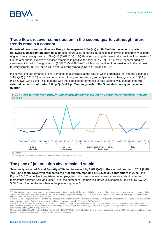

#### **Trade flows recover some traction in the second quarter, although future trends remain a concern**

**Exports of goods and services are likely to have grown 1.4% QoQ (1.3% YoY) in the second quarter, following a disappointing start to 2019** (see Figure 3.4). In particular, despite high levels of uncertainty, exports of goods may have grown by 1.8% QoQ (0.0% YoY) in 2Q19, after showing declines in the previous four quarters.<sup>7</sup> On the other hand, exports of services remained in positive territory (0.5% QoQ, 4.1% YoY), spearheaded by services not linked to foreign tourism (1.3% QoQ; 4.2% YoY), while consumption of non-residents in the domestic territory shrank (-0.5% QoQ; 4.0% YoY), following strong gains in 4Q18 and 1Q19.<sup>8</sup>

In line with the performance of final demand, data available at the time of writing suggests that imports expanded 1.4% QoQ (0.1% YoY) in the second quarter of the year, recovering some dynamism following a dip in 1Q19 (- 0.3% QoQ; -0.5% YoY). This, together with the expected performance of total exports, would mean that **net external demand contributed 0.0 pp QoQ (0.4 pp YoY) to growth of the Spanish economy in the second quarter**.



(e) Estimate.

 $\overline{a}$ 

Source: BBVA Research, based on INE (Spanish National Statistics Institute) data.

### **The pace of job creation also remained stable**

**Seasonally adjusted Social Security affiliation increased by 0.6% QoQ in the second quarter of 2019 (2.8% YoY), one-tenth down with respect to the first quarter, standing at 19,550,000 contributors in June** (see Figure 3.5).<sup>9</sup> The decline in registered unemployment, which was present across all sectors, also lost further momentum between April and June. Thus, the number of unemployed individuals shrank by -0.8% QoQ SWDA (- 5.0% YoY), four tenths less than in the previous quarter.<sup>10</sup>

<sup>7</sup> Partial indicators for overseas sales showed mixed signals. On the one hand, the available balance of trade information points to a strong surge in exports during 2Q19 (3.5% MoM SWDA in April). However, exports from major companies grew by only 0.3% MoM SWDA in April, while the order-book exports continued the negative trend that began at the start of the year.

<sup>8</sup> Overnight hotel stays from non-resident tourists dropped by 0.9% MoM SWDA on average in April and May. Tourist arrivals at the border were down by 2.6% MoM during the same period. Tourism revenue on the balance of payments grew by 0.7% MoM SWDA in April.

<sup>9</sup> As of April 1, the central state resumed Social Security payments under the special agreement for non-professional carers of dependent individuals, driving up numbers in this group by 32,800 persons in May. Excluding non-professional carers, the rally in affiliation during the second quarter would have been somewhat more modest (0.5% QoQ SWDA; 2.7% YoY).

<sup>10</sup> Since mid-2013, Social Security affiliation has grown by 19% SWDA, but is still 1% below the pre-crisis peak reached in early 2008. Although unemployment has fallen by 36% in the last five years, it remains 59% higher than in mid-2007.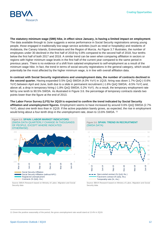

**The statutory minimum wage (SMI) hike, in effect since January, is having a limited impact on employment**. The data available through to June suggests a worse performance in Social Security registrations among young people, those engaged in traditionally low-wage service activities (such as retail or hospitality) and residents of Andalusia, the Canary Islands, Extremadura and the Region of Murcia. As Figure 3.7 illustrates, the number of employees under 30 declined in the first half of 2019 by 0.8% compared to the second half of 2018, four tenths below the first half of both 2017 and 2018. A similar trend can be seen when comparing affiliation in sectors or regions with higher minimum wage levels in the first half of the current year compared to the same period in previous years. There is no evidence of a shift from salaried employment to self-employment as a result of the minimum wage hike. In fact, the trend in terms of social security registrations in the general category, which would potentially be the most affected by the higher minimum wage, is in line with overall affiliation data.

**In contrast with Social Security registrations and unemployment data, the number of contracts declined in the second quarter.** Having expanded 0.5% QoQ SWDA (4.0% YoY) in 1Q19, hiring was down 1.7% QoQ (-0.6% YoY) between April and June, both due to a slide in permanent recruitment (-1.6% QoQ SWDA; -8.5% YoY) and, above all, a drop in temporary hiring (-1.8% QoQ SWDA; 0.2% YoY). As a result, the temporary employment rate fell by one tenth to 90.5% SWDA. As illustrated in Figure 3.6. the percentage of temporary contracts stands two points lower than the figure at the end of 2013.

#### **The Labor Force Survey (LFS) for 2Q19 is expected to confirm the trend indicated by Social Security**

**affiliation and unemployment figures.** Employment seems to have increased by around 0.6% QoQ SWDA (2.7% YoY), about one tenth less than in 1Q19. If the active population barely grows, as expected, the rise in employment would bring about a four-tenth drop in the unemployment rate, down to 13.6% SWDA. <sup>11</sup>



Source: BBVA Research based on Ministry of Labor, Migration and Social Security data





Source: BBVA Research based on Ministry of Labor, Migration and Social Security data

l

<sup>11</sup> Given the positive seasonality of the period, the gross unemployment rate would stand at 13.4% in 2Q19.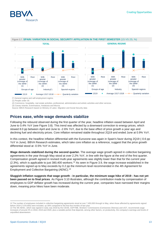



(\*) General regime and self-employment regime.

(1) People under 30.

(2) Commerce, hospitality, real estate activities, professional, administrative and artistic activities and other services.

(3) Canary Islands, Extremadura, Andalusia and Murcia.

Source: BBVA Research based on Ministry of Labor, Migration and Social Security data

#### **Prices ease, while wage demands stabilize**

Following the rebound observed during the first quarter of the year, headline inflation eased between April and June to 0.4% YoY (see Figure 3.8). This trend was affected by a downward correction to energy prices, which slowed 8.0 pp between April and June to -2.6% YoY, due to the base effect of price growth a year ago and declining fuel and electricity prices. Core inflation remained stable throughout 2Q19 and ended June at 0.9% YoY.

In this context, the headline inflation differential with the Eurozone was again in Spain's favor during 2Q19 (-0.6 pp YoY in June). BBVA Research estimates, which take core inflation as a reference, suggest that the price growth differential stood at -0.5% YoY in June.

**Wage demands stabilized during the second quarter.** The average wage growth agreed in collective bargaining agreements in the year through May stood at over 2.2% YoY, in line with the figure at the end of the first quarter. Compensation growth agreed in revised multi-year agreements was slightly lower than that for the current year (2.3%), which is applicable to just 380,400 workers.<sup>12</sup> As seen in Figure 3.9, the wage increase established in the agreements signed up to May exceeds by 0.2 pp the minimum level recommended in the 4th Agreement for Employment and Collective Bargaining (AENC).<sup>13</sup>

**Sluggish inflation suggests that wage growth - in particular, the minimum wage hike of 2019 - has not yet been passed on to final prices**. As Figure 3.10 illustrates, although the contribution made by compensation of employees to GDP deflator growth has increased during the current year, companies have narrowed their margins down, meaning price hikes have been moderate.

l

<sup>12</sup> The number of employees included in collective bargaining agreements stood at over 7,450,000 through to May, when those affected by agreements signed before 2019 (7,070,000) were included, up 30% compared to the first five months of last year.

<sup>13</sup> The 4th AENC, which was signed in early July 2018 by the CEOE, CEPYME, Workers' Commissions (Comisiones Obreras) and UGT, recommends wage increases of around 2% in 2018, 2019 and 2020, plus a variable portion that depends, among other factors, on productivity, the company's earnings and levels of unjustified absenteeism.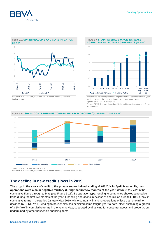



Source: BBVA Research, based on INE (Spanish National Statistics Institute) data.

Figure 3.9. **SPAIN: AVERAGE WAGE INCREASE AGREED IN COLLECTIVE AGREEMENTS** (% YoY)



Annual data includes agreements registered after December of each year and incorporates the review using the wage guarantee clause. (\*) Data since 2017 is provisional.

Source: BBVA Research based on Ministry of Labor, Migration and Social Security data



#### Figure 3.10. **SPAIN: CONTRIBUTIONS TO GDP DEFLATOR GROWTH** (QUARTERLY AVERAGE)

\* Data up to 1Q19; forecasts for 2Q19.

Source: BBVA Research, based on INE (Spanish National Statistics Institute) data.

#### **The decline in new credit slows in 2019**

**The drop in the stock of credit to the private sector halved, sliding -1.6% YoY in April. Meanwhile, new operations were also in negative territory during the first few months of the year**, down -3.4% YoY in the cumulative figure through to May (see Figure 3.11). By operation type, lending to companies showed a negative trend during the first five months of the year. Financing operations in excess of one million euro fell -10.0% YoY in cumulative terms in the period January-May 2019, while company financing operations of less than one million declined by -0.6% YoY. Lending to households has exhibited some fatigue year-to-date, albeit sustaining a growth of 3.5% YoY in cumulative terms in the year to May, supported by financing for consumer goods and property, but undermined by other household financing items.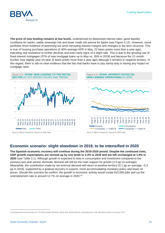**Creating Opportunities** 



**The price of new lending remains at low levels**, underpinned by depressed interest rates, good liquidity conditions for banks, stable sovereign risk and lower credit risk premia for banks (see Figure 3.12). However, some portfolios show evidence of bottoming out amid narrowing interest margins and changes to the term structure. This is true of housing purchase operations (2.40% average APR in May, 22 basis points more than a year ago), indicating real resistance to further declines and even early signs of a slight rally. This is due to the growing use of fixed interest mortgages (37% of new mortgage loans up to May vs. 35% in 2018) and because the 12-month Euribor rose slightly year-on-year (5 basis points more than a year ago) although it remains in negative territory. In this regard, there is still no clear evidence that the fact that banks have to pay stamp duty is having any impact on mortgage rates.



## **Economic scenario: slight slowdown in 2019, to be intensified in 2020**

**The Spanish economic recovery will continue during the 2019-2020 period. Despite the continued risks, GDP growth expectations are revised up by one tenth to 2.3% in 2019 and are left unchanged at 1.9% in 2020** (see Table 3.1). Although growth is expected to slow in consumption and investment compared to the previous two-year period, domestic demand will still be the main support for growth (2.0 pp on average). Meanwhile, the contribution made by net external demand will return to positive territory (0.1 pp on average; -0.3 pp in 2018), supported by a gradual recovery in exports, more accommodating monetary policy and lower oil prices. Should this scenario be confirm, the growth in economic activity would create 810,000 jobs and cut the unemployment rate to around 12.7% on average in 2020.<sup>14</sup>

l 14 Employment will increase by 740,000 people between 4Q18 and 4Q20 and the unemployment rate will fall to levels of around 12%.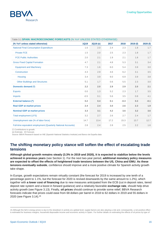

| Table 3.1 SPAIN: MACROECONOMIC FORECASTS (% YoY UNLESS STATED OTHERWISE) |             |          |      |        |         |         |  |
|--------------------------------------------------------------------------|-------------|----------|------|--------|---------|---------|--|
| (% YoY unless stated otherwise)                                          | <b>1Q19</b> | 2Q19 (e) | 2017 | 2018   | 2019(f) | 2020(f) |  |
| <b>National Final Consumption Expenditure</b>                            | 1.6         | 2.0      | 2.4  | 2.3    | 1.8     | 1.7     |  |
| <b>Private FCE</b>                                                       | 1.5         | 2.0      | 2.5  | 2.3    | 1.8     | 1.7     |  |
| <b>FCE Public Authorities</b>                                            | 2.0         | 2.1      | 1.9  | 2.1    | 1.8     | 1.7     |  |
| <b>Gross Fixed Capital Formation</b>                                     | 4.7         | 2.1      | 4.8  | 5.3    | 3.1     | 3.4     |  |
| <b>Equipment and Machinery</b>                                           | 7.3         | 1.6      | 6.0  | 5.4    | 3.9     | 3.0     |  |
| Construction                                                             | 4.3         | 2.9      | 4.6  | 6.2    | 3.1     | 3.5     |  |
| Housing                                                                  | 3.4         | 3.9      | 9.0  | 6.9    | 3.9     | 3.8     |  |
| <b>Other Buildings and Structures</b>                                    | 5.1         | 1.7      | 0.6  | 5.5    | 2.3     | 3.0     |  |
| Domestic demand (*)                                                      | 2.2         | 2.0      | 2.9  | 2.9    | 2.0     | 2.1     |  |
| <b>Exports</b>                                                           | 0.0         | 1.3      | 5.2  | 2.3    | 1.7     | 3.5     |  |
| <b>Imports</b>                                                           | $-0.5$      | 0.1      | 5.6  | 3.5    | 0.8     | 4.1     |  |
| <b>External balance (*)</b>                                              | 0.2         | 0.4      | 0.1  | $-0.3$ | 0.3     | $-0.1$  |  |
| <b>Real GDP at market prices</b>                                         | 2.4         | 2.4      | 3.0  | 2.6    | 2.3     | 1.9     |  |
| <b>Nominal GDP at market prices</b>                                      | 3.3         | 3.1      | 4.2  | 3.6    | 3.2     | 3.6     |  |
| <b>Total employment (LFS)</b>                                            | 3.2         | 2.7      | 2.6  | 2.7    | 2.4     | 1.7     |  |
| Unemployment rate (% of labor force)                                     | 14.7        | 13.4     | 17.2 | 15.3   | 13.7    | 12.7    |  |
| Full-time equivalent employment (Quarterly National Accounts)            | 2.8         | 2.4      | 2.8  | 2.5    | 2.2     | 1.6     |  |

(\*) Contributions to growth.

(e) Estimate. (f) Forecast.

Source: BBVA Research based on INE (Spanish National Statistics Institute) and Banco de España data

#### **The shifting monetary policy stance will soften the effect of escalating trade tensions**

**Although global growth remains steady (3.3% in 2019 and 2020), it is expected to stabilize below the levels achieved in previous years** (see Section 1). For the next two-year period, **additional monetary policy measures are expected to offset the effects of heightened trade tensions between the US, China and EMU. As these tensions eventually subside**, confidence should improve and a more positive climate for Spanish activity growth take shape.

In Europe, growth expectations remain virtually constant (the forecast for 2019 is increased by one tenth of a percentage point to 1.1%, but the forecast for 2020 is revised downwards by the same amount to 1.2%), which together with **a lower cost of financing** due to new measures anticipated from the ECB (cut in deposit rates, tiered deposit rate system and a boost in forward guidance) and a relatively favorable **exchange rate**, should help drive activity growth (see Figure 3.13). Finally, **oil prices** should continue to provide some relief; BBVA Research forecasts indicate that prices could ease from 68 dollars per barrel in 2018 to 62 dollars in 2019 and 55 dollars in 2020 (see Figure 3.14).<sup>15</sup>

l

<sup>15</sup> Although the fall in energy prices is due to the slowdown in activity at a global level, supply factors are also playing a role and, consequently, a net positive effect is estimated for business margins, household disposable income and economic activity in Spain. For further details on estimating the effects of oil prices by type of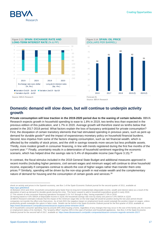





Source: BBVA Research

### **Domestic demand will slow down, but will continue to underpin activity growth**

**Private consumption will lose traction in the 2019-2020 period due to the waning of certain tailwinds**. BBVA Research expects growth in household spending to ease to 1.8% in 2019, two tenths less than expected in the previous edition of this publication, and 1.7% in 2020. Average growth will therefore stand six tenths below that posted in the 2017-2018 period. What factors explain the loss of buoyancy anticipated for private consumption? First, the dissipation of certain transitory elements that had stimulated spending in previous years, such as pent-up demand for durable goods<sup>16</sup> and the impact of expansionary monetary policy on household financial burdens. Second, less impetus from some of the factors shaping consumption, such as net financial wealth, which is affected by the volatility of stock prices, and the shift in savings towards more secure but less profitable assets. Thirdly, more modest growth in consumer financing, in line with trends registered during the first five months of the current year.<sup>17</sup> Finally, uncertainty results in a deterioration of household sentiment regarding the economic scenario, which has helped drive the savings rate to 5.4% of disposable income (see Figure 3.15).<sup>18</sup>

In contrast, the fiscal stimulus included in the 2018 General State Budget and additional measures approved in recent months (including higher pensions, civil servant wages and minimum wage) will continue to drive household income, especially if companies continue to absorb the cost of higher wages rather than transfer them onto prices.<sup>19</sup> Similarly, spending will be driven by the non-stop growth in real estate wealth and the complementary nature of demand for housing and the consumption of certain goods and services.<sup>20</sup>

 $\overline{a}$ 

shock on activity and prices in the Spanish economy, see Box 1 of the Spain Economic Outlook journal for the second quarter of 2011, available at: <https://goo.gl/6DM3cE>

<sup>16</sup> Between 2013 and 2016, household consumption grew faster than its long-term fundamentals (disposable income, wealth and interest rates) as a result of the absorption of pent-up demand for durable goods during the crisis. This factor ceased to add to household expenditure growth in early 2018.

<sup>17</sup> The volume of new consumer financing operations increased 5.1% YoY through to May, having expanded 17.0% in 2018. 18 Having eased to 4.5% SWDA of disposable income in 1Q18, the household savings rate rose by nearly one point to 5.4% SWDA in 1Q19.

<sup>19</sup> BBVA Research estimates indicate that the impact of the minimum wage hike on the total wage bill would be positive during the two-year period should companies not transfer the effect onto final prices. As of mid-2021 the negative impact on employment levels would outweigh the positive impact on wages, unless productivity growth outweighs the upturn in labor costs. Details can be found in the Spain Economic Outlook journal for the first quarter of 2019, available at[:](https://www.bbvaresearch.com/publicaciones/situacion-espana-primer-trimestre-2019/)  <https://www.bbvaresearch.com/publicaciones/situacion-espana-primer-trimestre-2019/>

<sup>20</sup> A household's consumer spending rises by around 20% when buying a home, regardless of any changes that may occur in the size of the family unit, the income or employment status of its members. The "property effect" reaches 35% in the case of furniture and household appliances. See Box 2 of the Spain Economic Outlook journal for the second half of 2017, available at:<https://www.bbvaresearch.com/public-compuesta/situacion-consumo-segundo-semestre-2017/>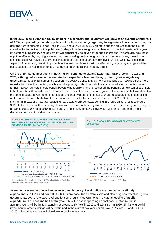

**In the 2019-20 two-year period, investment in machinery and equipment will grow at an average annual rate of 3.5%, supported by monetary policy but hit by uncertainty regarding foreign trade flows.** In particular, this demand item is expected to rise 4.0% in 2019 and 3.0% in 2020 (1.0 pp more and 0.7 pp less than the figures stated in the last edition of this publication), shaped by the strong growth observed in the first quarter of the year. Investment in machinery and equipment will significantly be driven by goods exports and, in particular, how these might be affected by ongoing trade tensions and weak growth among key trading partners. In any case, lower financing costs will have a positive but limited effect, starting at already low levels. All this while two significant aspects of uncertainty remain in place: how the automobile sector will be affected by regulatory change and the consequences of real parliamentary fragmentation on decisions made by agents.

**On the other hand, investment in housing will continue to expand faster than GDP growth in 2019 and 2020, although at a more moderate rate than expected a few months ago, due to greater regulatory uncertainty.** Industry fundamentals support this positive trend. Employment will continue to make progress more robustly than initially expected, which should support growth of household income. In addition, expectations of further interest rate cuts should benefit buyers who require financing, although the benefits of new stimuli are likely to be less robust than in the past. However, some aspects could have a negative effect on residential investment in the coming quarters. On the one hand, legal uncertainty at the end of last year and regulatory changes affecting rental contracts could be behind the deterioration of residential sales since the end of 2018. On top of this is the short-term impact of a new law regulating real estate credit contracts coming into force on June 16 (see Figure 3.16). In this scenario, there is a slight downward revision of housing investment in the current two-year period, as growth is cut by 0.7 pp in 2019 to 3.9% and 0.4 pp in 2020 to 3.9%. However, it will remain one of the most dynamic components of domestic demand.







Source: BBVA Research, based on CIEN data

**Assuming a scenario of no changes to economic policy, fiscal policy is expected to be slightly expansionary in 2019 and neutral in 2020**. In any case, the electoral cycle and slow progress establishing new governments, both at the state level and for some regional governments, indicate **an easing of public expenditure in the second half of the year**. Thus, the rise in spending on final consumption by public administrations will be limited, standing at around 1.8% YoY in 2019 and 1.7% YoY in 2020. Similarly, growth in investment in other buildings will be restrained in the current two-year period (YoY 2.3% in 2019 and 3.0% in 2020), affected by the gradual slowdown in public investment.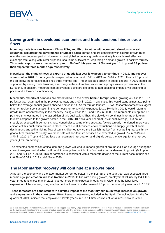#### **Lower growth in developed economies and trade tensions hinder trade flows**

**Mounting trade tensions between China, USA, and EMU, together with economic slowdowns in said countries, will affect the performance of Spain's sales** abroad and are consistent with slowing growth rates over the next two-year period. However, robust global economic growth, a relatively favorable real effective exchange rate, along with lower oil prices, should be sufficient to keep foreign demand growth in positive territory. **Thus, total exports are expected to expand 1.7% YoY this year and 3.5% next year, 1.1 pp and 0.3 pp less than expected three months ago respectively**.

In particular, **the sluggishness of exports of goods last year is expected to continue in 2019, and recover somewhat in 2020**. Exports growth is expected to be around 0.5% in 2019 and 3.6% in 2020. This is 1.5 pp and 0.5 pp below the forecasts published three months ago. The anticipated growth in goods exports in 2020 should be supported by easing trade tensions, a recovery in the automotive sector and a progressive improvement in the Eurozone. In addition, moderate competitiveness gains are expected to add additional impetus, via declining oil prices and a lower cost of financing.

**Meanwhile, exports of services are expected to be the driver behind foreign sales**, growing 4.5% in 2019, 0.1 pp faster than estimated in the previous quarter, and 3.0% in 2020. In any case, this would stand almost two points below the average annual growth observed since 2014. As for foreign tourism, BBVA Research's forecasts suggest that non-resident consumption in the domestic territory, which expanded just 1.8% during 2018, would return to growth rates observed early in the recovery, rising 4.1% in 2019 and 2.1% in 2020. This represents 2.6 pp and 1.1 pp more than estimated in the last edition of this publication. Thus, the slowdown continues in terms of foreign tourism compared to the growth posted in the 2016-2017 two-year period (9.2% annual average), but not as sharply as expected three months ago. Nonetheless, some of the structural factors already mentioned in previous editions of this publication remain in place. There are still concerns over restrictions on supply growth at some destinations and a diminishing flow of tourists diverted toward the Spanish market from competing markets hit by geopolitical tensions.<sup>21</sup> Finally, overseas sales of non-tourism services are expected to grow 4.8% in 2019 and 3.7% in 2020, 1.7 pp and 0.7 pp less than estimated last quarter, and slightly below the average for the last two years (4.5% on average).

The expected composition of final demand growth will lead to imports growth of around 2.4% on average during the current two-year period, which will result in a negative contribution from net external demand to growth (0.3 pp in 2019 and -0.1 pp in 2020). This performance is consistent with a moderate decline of the current account balance to 0.7% of GDP in 2019 and 0.4% in 2020.

#### **The labor market recovery will continue at a slower pace**

Although the economy and the labor market performed better in the first half of the year than was expected three months ago, **job creation will lose traction in 2019**. In line with easing growth, employment will rise by 2.4% this year, three tenths less than in 2018, but four more than expected in early April. Given that the labor force expansion will be modest, rising employment will result in a decrease of 1.5 pp in the unemployment rate to 13.7%.

**These forecasts are consistent with a limited impact of the statutory minimum wage increase on growth and employment in the short term**. BBVA Research estimates, included in the Spain Outlook edition for the first quarter of 2019, indicate that employment levels (measured in full-time equivalent jobs) in 2019 would stand

 $\overline{a}$ 

<sup>21</sup> In this regard, the estimates of BBVA Research would suggest that nearly 10 pp of tourism growth over recent years is not due to traditional fundamentals such as the evolution of global demand or the real effective exchange rate. For a more detailed explanation of the structural factors that are slowing foreign tourism, see the BBVA Research Economic Watch: "Foreign tourism in Spain: Loss of traction pending improvements in competitiveness", available a[t https://bit.ly/2FuOVl9](https://bit.ly/2FuOVl9)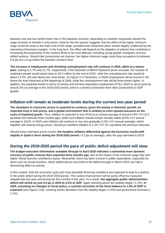

between one and four tenths lower than in the baseline scenario, depending on whether companies absorb the wage increase or transfer it onto prices. Data for the first quarter suggests that the effect of the higher minimum wage would be close to the lower end of the range, provided that investment plans remain largely unaffected by the narrowing of business margins. In the long term, the effect will depend on the adoption of policies that contribute to increasing the productivity of the workers likely to be most affected, including young people, foreigners and lowskilled workers. Should their productivity not improve, the higher minimum wage could drop occupation to between 0.9 pp and 1.6 pp below the baseline scenario level.

**The increase in employment and shrinking unemployment rate will continue in 2020, albeit at a slower pace**, easing to 1.7% and 12.7%, respectively. If the forecasts of BBVA Research prove accurate, the number of employed people would stand close to 20.3 million by the end of 2020, while the unemployment rate would be about 12.2%, still well above pre-crisis levels. As Figure 3.17 illustrates, in 4Q20 employment will be around 2.2% below the level observed at the beginning of 2008, while the unemployment rate will be three points higher. In addition, the expected trends in terms of activity and full-time equivalent employment (FTE), which is set to grow by around 2% on average in the 2019-2020 period, point to a limited contribution from labor productivity to GDP growth.

#### **Inflation will remain at moderate levels during the current two-year period**

**The slowdown in consumer prices is expected to continue, given the easing in domestic growth, an expected drop in fuel prices, and a global environment that is unlikely to exert upward pressure on the costs of imported goods.** Thus, inflation is expected to end 2019 at an annual average of around 0.8% YoY (0.3 pp below the estimate three months ago), while core inflation should remain virtually stable (0.8% YoY annual average in 2019). In 2020 core inflation will continue to rise very gradually (1.0% YoY annual average), which, together with easing energy prices, should put headline inflation at 1.3% YoY (0.1 pp below the previous forecast).

Should these estimates prove correct, **the headline inflation differential against the Eurozone would shift slightly in Spain's favor during the 2019-2020 period** (-0.2 pp on average), after the gap narrowed in 2018.

#### **During the 2019-2020 period the pace of public deficit adjustment will slow**

**The budget execution information available through to April 2019 indicates a somewhat more dynamic recovery of public revenue than expected three months ago**, due to the impact of the minimum wage hike and higher Social Security contribution bases. Meanwhile, there has been a boost in public expenditure, especially for items such as social transfers, which added almost one tenth to the deficit through to March 2019, but had a diminishing effect on activity.

In this context, both the economic cycle and more favorable financing conditions are expected to lead to a decline in the public deficit during the 2019-2020 period. This cyclical improvement will be partly offset by measures adopted late last year and during the first months of this year. As a result, **the aggregate public administration deficit will shrink by just 0.4 pp in 2019 to 2.2% of GDP**, again standing above the stability target (-1.3%). **In 2020, assuming no changes to fiscal policy, a cyclical correction of the fiscal balance to 1.9% of GDP is expected** (see Figure 3.18), meaning further deviation from the stability target (-0.5%) and government forecasts (-1.1%).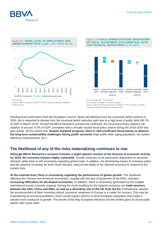



Source: BBVA Research, based on INE (Spanish National Statistics Institute) data.

Figure 3.18. **PUBLIC ADMINISTRATIONS: BREAKDOWN OF FISCAL ADJUSTMENT, EXCLUDING BAIL-OUTS FOR FINANCIAL INSTITUTIONS** (% OF GDP)



(a) Actual growth. Forecast (f). (1) Includes changes in interest charges Source: BBVA Research based on Ministry of the Treasury and INE (Spanish National Statistics Institute) data

Pending final confirmation from the European Council, Spain will withdraw from the excessive deficit protocol in 2019, but is expected to deviate from the structural deficit reduction path due to a high level of public debt (98.7% of GDP in March 2019). Should the BBVA Research scenario be confirmed, the structural primary balance will stabilize at around -0.5% of GDP, consistent with a virtually neutral fiscal policy stance during the 2019-2020 twoyear period. All this shows that, **despite marginal progress, there is still insufficient fiscal leeway to address the long-term sustainability challenges facing public accounts** (high public debt, aging population, tax system efficiency improvements, etc.).

#### **The likelihood of any of the risks materializing continues to rise**

**Although BBVA Research's scenario includes a slight upward revision of the forecast of economic activity for 2019, the economy remains highly vulnerable**. Growth continues to be particularly dependent on domestic demand, while there is still uncertainty regarding global trade. In addition, the diminishing impact of monetary policy and the absence of leeway for fresh fiscal stimulus, reduces the ability of the Spanish economy to respond to the current risks.

**At the external level, there is uncertainty regarding the performance of global growth**. The slowdown affecting the Chinese and American economies, coupled with the lack of dynamism of the EMU, indicates **increasing difficulties for developed economies**. In addition, there is uncertainty generated by the multiple international issues currently ongoing. Among the most troubling for the Spanish economy are **trade tensions between the USA, China and EMU, as well as a disorderly exit of the UK from the EU**. Furthermore, despite the announcement of fresh monetary stimuli, economic weakness in Europe is a matter for concern. This may be materializing as structural problems, which would require reforms to drive European integration and create a climate more conducive to growth. The results of the May European elections and the limited gains by Eurosceptic parties offer some relief.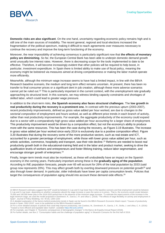

**Domestic risks are also significant**. On the one hand, uncertainty regarding economic policy remains high and is still one of the main sources of instability. The recent general, regional and local elections increased the fragmentation of the political spectrum, making it difficult to reach agreements over measures necessary to continue the recovery and improve the long-term functioning of the economy.

Moreover, the near impossibility of achieving consensus is particularly significant now that **the effects of monetary policy are diminishing**. So far, the European Central Bank has been able to underpin domestic demand growth amid unusually low interest rates. However, there is decreasing scope for the tools implemented to date to be effective. Therefore, it will become increasingly evident that other policies will be required to help boost, in particular, investment expenditure. In Spain there is limited ability to make use of fiscal policy, meaning the economy might be bolstered via measures aimed at driving competitiveness or making the labor market operate more efficiently.

Meanwhile, although the minimum wage increase seems to have had a limited impact, in line with the BBVA Research baseline scenario, the medium and long term effect remains uncertain. At present, there has been no transfer to final consumer prices or a significant dent in job creation, although these more adverse scenarios cannot yet be ruled out.<sup>22</sup> This is particularly important in the current context, with the unemployment rate gradually approaching its structural level. In this scenario, we may witness binding capacity constraints and shortages of skilled labor, which could lead to greater wage pressure.

In addition to the short-term risks, **the Spanish economy also faces structural challenges**. The **low growth in real productivity during the recovery is a prominent one.** In contrast with the previous upturn (2003-2007), recent productivity improvements, defined as gross value added per hour worked, are due to *changes to the sectorial composition* of employment and hours worked, as well as different price trends in each branch of activity, rather than real productivity improvements. For example, the aggregate productivity of the economy could expand due to a sector with a comparatively high gross value added per hour accounting for a larger share of employment. This productivity improvement would be driven by a composition effect, but not the economy's ability to produce more with the same resources. This has been the case during the recovery, as Figure 3.19 illustrates. The increase in gross value added per hour worked since early 2014 is exclusively due to a positive composition effect. Figure 3.20 illustrates that during the recovery some of the more productive sectors, such as real estate and ICT, accounted for a greater percentage of employment, while those with lower gross value added per hour, such as artistic activities, commerce, hospitality and transport, saw their role decline. <sup>23</sup> Reforms are needed to boost real productivity growth both in the educational-training field and in the labor and product market, seeking to drive the qualification levels of workers and entrepreneurs and foster lifelong training, reduce labor segmentation, and encourage stronger growth of enterprises. 24

Finally, longer-term trends must also be monitored, as these will undoubtedly have an impact on the Spanish economy in the coming years. Particularly important among these is the **gradually aging of the population**. According to INE population forecasts, people over 65 will account for 26% of the total population by 2033 (said group now represents 20%). This may affect growth both by exerting downward pressure on potential growth<sup>25</sup> and also through lower demand. In particular, older individuals have lower per capita consumption levels. Policies that target the consequences of population aging should into account these demand-side effects.<sup>26</sup>

l

<sup>22</sup> BBVA Research estimates suggest that GDP would be between 0.1 pp and 0.3 pp lower than in the baseline scenario and that employment would be between 0.1 pp and 0.4 pp lower, depending on whether companies absorb the wage increase or pass the same on to prices. That is, the economy would create between 75,000 and 195,000 fewer jobs in the 2019-2020 period than in the absence of the minimum wage increase. To estimate the repercussions of the increase in the legal minimum wage, we used the model proposed in Doménech, R., García J. R. and Ulloa C. (2018): "The effects of wage flexibility on activity and employment in Spain", Journal of Policy Modeling, Vol. 40 (6), 1200-1220

<sup>23</sup> A detailed explanation of the factors behind productivity trends in Spain can be found in the BBVA Research Economic Watch report: "Causes of productivity trends in Spain: 2002-2019", soon to be published on the BBVA Research website.

<sup>24</sup> For a more detailed analysis of policies that could help improve productivity, see Cardoso, M., Doménech, R., García, J. R., Sicilia, J. and Ulloa, C. A. (2016): "Toward a more efficient and equitable labor market", available https://bit.ly/2LceHA3

<sup>25</sup> For example, see Chapter 4: "Economic consequences of demographic changes" in the Banco de España Annual Report (2018).

<sup>26</sup> For further details, see Box 2: "Consumption habits and the challenge of population aging" in Situación Consumo for the first half of 2019.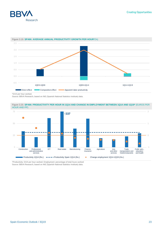



#### Figure 3.19. **SPAIN: AVERAGE ANNUAL PRODUCTIVITY GROWTH PER HOUR\***(%)

Source: BBVA Research, based on INE (Spanish National Statistics Institute) data.





\*Productivity: GVA per hour worked. Employment: percentage of total hours worked Source: BBVA Research, based on INE (Spanish National Statistics Institute) data.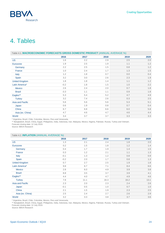

# <span id="page-23-0"></span>4. Tables

| Table 4.1. MACROECONOMIC FORECASTS GROSS DOMESTIC PRODUCT (ANNUAL AVERAGE %) |        |      |      |      |      |  |  |
|------------------------------------------------------------------------------|--------|------|------|------|------|--|--|
|                                                                              | 2016   | 2017 | 2018 | 2019 | 2020 |  |  |
| <b>US</b>                                                                    | 1.6    | 2.2  | 2.9  | 2.5  | 2.0  |  |  |
| Eurozone                                                                     | 1.9    | 2.5  | 1.9  | 1.1  | 1.2  |  |  |
| Germany                                                                      | 2.2    | 2.5  | 1.5  | 0.8  | 1.2  |  |  |
| France                                                                       | 1.0    | 2.4  | 1.7  | 1.3  | 1.5  |  |  |
| Italy                                                                        | 1.2    | 1.8  | 0.7  | 0.0  | 0.4  |  |  |
| Spain                                                                        | 3.2    | 3.0  | 2.6  | 2.3  | 1.9  |  |  |
| <b>United Kingdom</b>                                                        | 1.8    | 1.8  | 1.4  | 1.1  | 1.2  |  |  |
| Latin America*                                                               | $-0.2$ | 1.8  | 1.5  | 1.0  | 2.2  |  |  |
| <b>Mexico</b>                                                                | 2.6    | 2.4  | 2.0  | 0.7  | 1.8  |  |  |
| <b>Brazil</b>                                                                | $-3.3$ | 1.1  | 1.1  | 0.9  | 1.8  |  |  |
| Eagles**                                                                     | 5.3    | 5.4  | 5.2  | 4.7  | 4.9  |  |  |
| <b>Turkey</b>                                                                | 3.2    | 7.4  | 2.6  | 0.3  | 2.5  |  |  |
| <b>Asia and Pacific</b>                                                      | 5.6    | 5.6  | 5.6  | 5.3  | 5.1  |  |  |
| Japan                                                                        | 0.6    | 1.9  | 0.8  | 0.7  | 0.4  |  |  |
| China                                                                        | 6.7    | 6.8  | 6.6  | 6.0  | 5.8  |  |  |
| Asia (ex. China)                                                             | 4.7    | 4.6  | 4.7  | 4.6  | 4.4  |  |  |
| World                                                                        | 3.4    | 3.7  | 3.7  | 3.3  | 3.3  |  |  |

\* Argentina, Brazil, Chile, Colombia, Mexico, Peru and Venezuela.

\*\* Bangladesh, Brazil, China, Egypt, Philippines, India, Indonesia, Iran, Malaysia, Mexico, Nigeria, Pakistan, Russia, Turkey and Vietnam. Forecast closing date: 12 July 2019.

Source: BBVA Research

#### Table 4.2. **INFLATION** (ANNUAL AVERAGE %)

|                       | 2016   | 2017 | 2018 | 2019 | 2020 |
|-----------------------|--------|------|------|------|------|
| <b>US</b>             | 1.3    | 2.1  | 2.4  | 1.8  | 2.0  |
| Eurozone              | 0.2    | 1.5  | 1.8  | 1.2  | 1.4  |
| Germany               | 0.4    | 1.7  | 1.9  | 1.4  | 1.5  |
| France                | 0.3    | 1.2  | 2.1  | 1.1  | 1.3  |
| Italy                 | $-0.1$ | 1.3  | 1.2  | 0.8  | 0.9  |
| Spain                 | $-0.2$ | 2.0  | 1.7  | 0.8  | 1.3  |
| <b>United Kingdom</b> | 0.7    | 2.7  | 2.5  | 1.9  | 1.8  |
| Latin America*        | 9.8    | 6.7  | 7.1  | 8.4  | 6.6  |
| <b>Mexico</b>         | 2.8    | 6.0  | 4.9  | 3.9  | 3.8  |
| <b>Brazil</b>         | 8.8    | 3.5  | 3.7  | 3.9  | 4.1  |
| Eagles**              | 4.4    | 4.0  | 4.7  | 4.9  | 4.6  |
| <b>Turkey</b>         | 7.8    | 11.1 | 16.3 | 16.2 | 13.1 |
| Asia and Pacific      | 2.3    | 2.0  | 2.3  | 2.4  | 2.6  |
| Japan                 | $-0.1$ | 0.5  | 1.0  | 0.7  | 1.0  |
| China                 | 2.1    | 1.5  | 1.9  | 2.3  | 2.5  |
| Asia (ex. China)      | 2.5    | 2.4  | 2.7  | 2.6  | 2.9  |
| World                 | 3.2    | 3.3  | 3.8  | 3.7  | 3.6  |

\* Argentina, Brazil, Chile, Colombia, Mexico, Peru and Venezuela.

\*\* Bangladesh, Brazil, China, Egypt, Philippines, India, Indonesia, Iran, Malaysia, Mexico, Nigeria, Pakistan, Russia, Turkey and Vietnam.

Forecast closing date: 12 July 2019.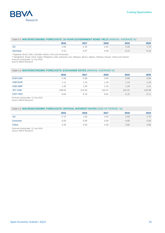|         | 2016 | 2017                  | 2018            | 2019 | 2020             |
|---------|------|-----------------------|-----------------|------|------------------|
| US      | .84  | $\cap$ $\cap$<br>دن.∠ | $\sim$ . $\cup$ | 2.26 | 70<br>$1.1 \cup$ |
| Germany | U.IJ | U.JI                  | 0.46            |      | 0.16<br>-        |

\* Argentina, Brazil, Chile, Colombia, Mexico, Peru and Venezuela.

\*\* Bangladesh, Brazil, China, Egypt, Philippines, India, Indonesia, Iran, Malaysia, Mexico, Nigeria, Pakistan, Russia, Turkey and Vietnam. Forecast closing date: 12 July 2019.

Source: BBVA Research

| Table 4.4. MACROECONOMIC FORECASTS: EXCHANGE RATES (ANNUAL AVERAGE %) |  |
|-----------------------------------------------------------------------|--|
|-----------------------------------------------------------------------|--|

|                | 2016   | 2017   | 2018   | 2019   | 2020   |
|----------------|--------|--------|--------|--------|--------|
| <b>EUR-USD</b> | 0.90   | 0.89   | 0.85   | 0.88   | 0.84   |
| USD-EUR        | 1.11   | 1.13   | 1.18   | 1.14   | 1.19   |
| USD-GBP        | 1.35   | 1.29   | 1.33   | 1.29   | 1.41   |
| JPY-USD        | 108.82 | 112.20 | 110.47 | 110.31 | 110.58 |
| <b>CNY-USD</b> | 6.64   | 6.76   | 6.61   | 6.75   | 6.71   |

Forecast closing date: 12 July 2019.

Source: BBVA Research

#### Table 4.5. **MACROECONOMIC FORECASTS: OFFICIAL INTEREST RATES** (END OF PERIOD. %)

|          | 2015 | 2016 | 2017 | 2018 | 2019 |
|----------|------|------|------|------|------|
| US       | 0.75 | 1.50 | 2.50 | 2.00 | 1.75 |
| Eurozone | 0.00 | 0.00 | 0.00 | 0.00 | 0.00 |
| China    | 4.35 | 4.35 | 4.35 | 3.85 | 3.85 |

Forecast closing date: 12 July 2019.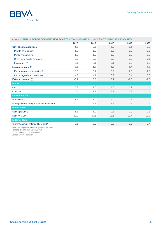

| Table 4.6. EMU: MACROECONOMIC FORECASTS (YOY CHANGE. %. UNLESS OTHERWISE INDICATED) |        |        |        |        |        |  |  |  |
|-------------------------------------------------------------------------------------|--------|--------|--------|--------|--------|--|--|--|
|                                                                                     | 2016   | 2017   | 2018   | 2019   | 2020   |  |  |  |
| <b>GDP</b> at constant prices                                                       | 1.9    | 2.5    | 1.9    | 1.1    | 1.2    |  |  |  |
| Private consumption                                                                 | 1.8    | 1.8    | 1.3    | 1.5    | 1.5    |  |  |  |
| Public consumption                                                                  | 1.8    | 1.3    | 1.0    | 1.2    | 1.3    |  |  |  |
| Gross fixed capital formation                                                       | 3.9    | 3.0    | 3.3    | 3.0    | 2.1    |  |  |  |
| Inventories (*)                                                                     | 0.1    | $-0.1$ | 0.1    | $-0.2$ | 0.0    |  |  |  |
| Internal demand (*)                                                                 | 2.3    | 1.8    | 1.7    | 1.4    | 1.5    |  |  |  |
| Exports (goods and services)                                                        | 3.0    | 5.4    | 3.2    | 2.5    | 2.3    |  |  |  |
| Imports (goods and services)                                                        | 4.2    | 4.1    | 3.2    | 3.4    | 3.3    |  |  |  |
| <b>External demand (*)</b>                                                          | $-0.4$ | 0.8    | 0.1    | $-0.3$ | $-0.3$ |  |  |  |
| <b>Prices</b>                                                                       |        |        |        |        |        |  |  |  |
| <b>CPI</b>                                                                          | 0.2    | 1.5    | 1.8    | 1.2    | 1.4    |  |  |  |
| Core CPI                                                                            | 0.8    | 1.1    | 1.2    | 1.1    | 1.4    |  |  |  |
| <b>Labour market</b>                                                                |        |        |        |        |        |  |  |  |
| Employment                                                                          | 1.4    | 1.6    | 1.5    | 0.9    | 0.6    |  |  |  |
| Unemployment rate (% of active population)                                          | 10.0   | 9.1    | 8.2    | 7.7    | 7.6    |  |  |  |
| <b>Public sector</b>                                                                |        |        |        |        |        |  |  |  |
| Deficit (% GDP)                                                                     | $-1.6$ | $-1.0$ | $-0.5$ | $-0.9$ | $-1.1$ |  |  |  |
| Debt (% GDP)                                                                        | 89.2   | 87.1   | 85.1   | 83.4   | 81.9   |  |  |  |
| <b>External sector</b>                                                              |        |        |        |        |        |  |  |  |
| Current account balance (% of GDP)                                                  | 3.1    | 3.2    | 2.9    | 2.6    | 2.4    |  |  |  |

Annual change in %. unless expressly indicated.

Forecast closing day: 12 July 2019. (\*) Excluding aid to Spanish banks.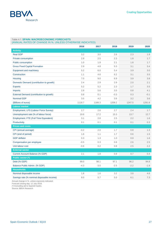#### Table 4.7. **SPAIN: MACROECONOMIC FORECASTS**

| (ANNUAL RATES OF CHANGE IN %, UNLESS OTHERWISE INDICATED) |  |  |  |  |
|-----------------------------------------------------------|--|--|--|--|
|-----------------------------------------------------------|--|--|--|--|

|                                            | 2016   | 2017   | 2018   | 2019   | 2020   |
|--------------------------------------------|--------|--------|--------|--------|--------|
| <b>Activity</b>                            |        |        |        |        |        |
| <b>Real GDP</b>                            | 3.2    | 3.0    | 2.6    | 2.3    | 1.9    |
| <b>Private consumption</b>                 | 2.9    | 2.5    | 2.3    | 1.8    | 1.7    |
| <b>Public consumption</b>                  | 1.0    | 1.9    | 2.1    | 1.8    | 1.7    |
| <b>Gross Fixed Capital Formation</b>       | 2.9    | 4.8    | 5.3    | 3.1    | 3.4    |
| Equipment and machinery                    | 5.2    | 6.0    | 5.4    | 3.9    | 3.0    |
| Construction                               | 1.1    | 4.6    | 6.2    | 3.1    | 3.5    |
| Housing                                    | 7.0    | 9.0    | 6.9    | 3.9    | 3.8    |
| Domestic Demand (contribution to growth)   | 2.4    | 2.9    | 2.9    | 2.0    | 2.1    |
| <b>Exports</b>                             | 5.2    | 5.2    | 2.3    | 1.7    | 3.5    |
| <b>Imports</b>                             | 2.9    | 5.6    | 3.5    | 0.8    | 4.1    |
| External Demand (contribution to growth)   | 0.8    | 0.1    | $-0.3$ | 0.3    | $-0.1$ |
| <b>Nominal GDP</b>                         | 3.5    | 4.2    | 3.6    | 3.2    | 3.6    |
| (Billions of euros)                        | 1118.7 | 1166.3 | 1208.2 | 1247.5 | 1291.8 |
| <b>Labour market</b>                       |        |        |        |        |        |
| Employment. LFS (Labour Force Survey)      | 2.7    | 2.6    | 2.7    | 2.4    | 1.7    |
| Unemployment rate (% of labour force)      | 19.6   | 17.2   | 15.3   | 13.7   | 12.7   |
| Employment. FTE (Full Time Equivalent)     | 3.1    | 2.8    | 2.5    | 2.2    | 1.6    |
| Productivity                               | 0.1    | 0.1    | 0.1    | 0.1    | 0.3    |
| <b>Prices and costs</b>                    |        |        |        |        |        |
| CPI (annual average)                       | $-0.2$ | 2.0    | 1.7    | 0.8    | 1.3    |
| CPI (end of period)                        | 1.6    | 1.1    | 1.7    | 0.6    | 1.5    |
| <b>GDP</b> deflator                        | 0.3    | 1.3    | 1.0    | 0.9    | 1.6    |
| Compensation per employee                  | $-0.5$ | 0.3    | 0.8    | 2.6    | 2.5    |
| Unit labour cost                           | $-0.6$ | 0.2    | 0.8    | 2.5    | 2.2    |
| <b>External sector</b>                     |        |        |        |        |        |
| <b>Current Account Balance (% GDP)</b>     | 2.1    | 1.8    | 0.9    | 0.7    | 0.4    |
| Public sector (*)                          |        |        |        |        |        |
| Debt (% GDP)                               | 99.0   | 98.1   | 97.1   | 96.2   | 94.8   |
| Balance Public Admin. (% GDP)              | $-4.3$ | $-3.0$ | $-2.5$ | $-2.2$ | $-1.9$ |
| <b>Households</b>                          |        |        |        |        |        |
| Nominal disposable income                  | 1.8    | 1.6    | 3.2    | 3.8    | 4.6    |
| Savings rate (% nominal disposable income) | 8.0    | 5.7    | 5.0    | 6.1    | 7.3    |

Annual change in %. unless expressly indicated.

Forecast closing day: 12 July 2019.

(\*) Excluding aid to Spanish banks.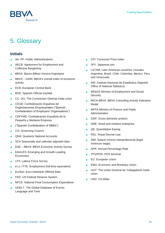

# 5. Glossary

## **Initials**

- AA. PP: Public Administrations
- AECB: Agreement for Employment and Collective Bargaining
- BBVA: Banco Bilbao Viscera Argentaria
- BBVA GAIN: BBVA's overall index of economic activity
- ECB: European Central Bank
- BOE: Spanish Official Gazette
- CC. OO: The Comisiones Obreras trade union
- CEOE: Confederación Española de Organizaciones Empresariales ("Spanish Confederation of Employers' Organisations")
- CEPYME: Confederación Española de la  $\overline{\phantom{a}}$ Pequeña y Mediana Empresa
- ("Spanish Confederation of SMEs")
- CG: Governing Council
- QNA: Quarterly National Accounts
- SCA Seasonally and calendar-adjusted data
- EAE BBVA: BBVA Economic Activity Survey
- EAGLES: Emerging and Growth-Leading Economies
- LFS: Labour Force Survey
- e.t.c / FTE: Employment (full-time equivalent)
- Euríbor: Euro Interbank Offered Rate
- FED: US Federal Reserve System
- NFCE: National Final Consumption Expenditure
- GDELT: The Global Database of Events. Language and Tone
- CPI: Consumer Price Index
- JPY: Japanese yen
- LATAM: Latin American countries. Includes  $\mathbf{r}$ Argentina. Brazil. Chile. Colombia. Mexico. Peru and Venezuela.
- **INE: Instituto Nacional de Estadística (Spanish** Office of National Statistics)
- ME&SS Ministry of Employment and Social  $\blacksquare$ **Security**
- MICA-BBVA: BBVA Coinciding Activity Indicators Model
- MFPA Ministry of Finance and Public Administration
- GDP: Gross domestic product
- SME: Small and medium enterprise
- QE: Quantitative Easing
- RDL: Royal Decree-Law **A**
- SMI: Salario mínimo interprofesional (legal minimum wage)
- APR: Annual Percentage Rate
- TPV/POS: POS terminal
- EU: European Union ×
- EMU: Economic and Monetary Union  $\mathbf{r}$
- UGT: The Unión General de Trabajadores trade union
- USD: US dollar**A**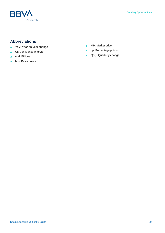

## **Abbreviations**

- YoY: Year-on-year change  $\overline{a}$
- CI: Confidence Interval  $\mathbf{r}$
- mM: Billions  $\overline{a}$
- bps: Basis points ×
- MP: Market price  $\overline{\phantom{a}}$
- pp: Percentage points  $\mathcal{L}$
- QoQ: Quarterly change $\overline{\phantom{a}}$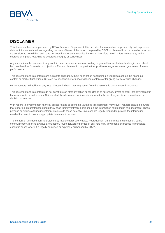

### **DISCLAIMER**

This document has been prepared by BBVA Research Department. It is provided for information purposes only and expresses data. opinions or estimations regarding the date of issue of the report. prepared by BBVA or obtained from or based on sources we consider to be reliable. and have not been independently verified by BBVA. Therefore. BBVA offers no warranty. either express or implicit. regarding its accuracy. integrity or correctness.

Any estimations this document may contain have been undertaken according to generally accepted methodologies and should be considered as forecasts or projections. Results obtained in the past. either positive or negative. are no guarantee of future performance.

This document and its contents are subject to changes without prior notice depending on variables such as the economic context or market fluctuations. BBVA is not responsible for updating these contents or for giving notice of such changes.

BBVA accepts no liability for any loss. direct or indirect. that may result from the use of this document or its contents.

This document and its contents do not constitute an offer. invitation or solicitation to purchase. divest or enter into any interest in financial assets or instruments. Neither shall this document nor its contents form the basis of any contract. commitment or decision of any kind.

With regard to investment in financial assets related to economic variables this document may cover. readers should be aware that under no circumstances should they base their investment decisions on the information contained in this document. Those persons or entities offering investment products to these potential investors are legally required to provide the information needed for them to take an appropriate investment decision.

The content of this document is protected by intellectual property laws. Reproduction. transformation. distribution. public communication. making available. extraction. reuse. forwarding or use of any nature by any means or process is prohibited. except in cases where it is legally permitted or expressly authorised by BBVA.